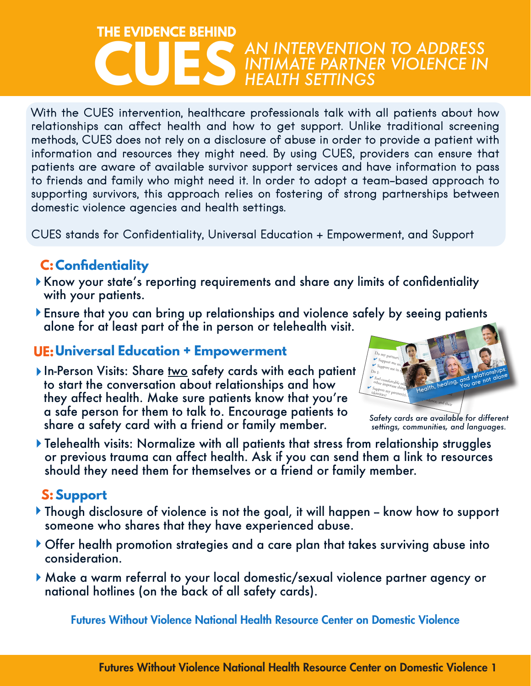#### *AN INTERVENTION TO ADDRESS INTIMATE PARTNER VIOLENCE IN HEALTH SETTINGS* **CUES THE EVIDENCE BEHIND**

With the CUES intervention, healthcare professionals talk with all patients about how With the CUES intervention, healthcare professionals talk with all patients about how<br>relationships can affect health and how to get support. Unlike traditional screening<br>methods CUES does not roly on a disclosure of abuse relationships can affect health and how to get support. Unlike traditional screening<br>methods, CUES does not rely on a disclosure of abuse in order to provide a patient with<br>information and resources they might need. By usi information and resources they might need. By using CUES, providers can ensure that<br>patients are aware of available survivor support services and have information to pass intormation and resources they might need. by using CUE5, providers can ensure that<br>patients are aware of available survivor support services and have information to pass patients are aware of available survivor support services and nave information to pass<br>to friends and family who might need it. In order to adopt a team-based approach to<br>the method is a structure this method is a structur alone. supporting survivors, this approach relies on fostering of strong partnerships between<br>domestic violence agencies and health settings. provider, friend, or domestic violence advocate (see info on the domestic violence agencies and health settings.

going on. ✔Work with someone you trust to develop a self-care plan to take your medications as prescribed, connect with others, get a good CUES stands for Confidentiality, Universal Education + Empowerment, and Support

# **C:Confidentiality**

- C**: Contidentiality**<br>Know your state's reporting requirements and share any limits of confidentiality<br>with your patients. with your patients.
- with your patients.<br>Ensure that you can bring up relationships and violence safely by seeing patients<br>clare for at legat part of the in person or teleboalth visit 1-800-662-4357 futureswithoutviolence.org alone for at least part of the in person or telehealth visit.

#### **UE:Universal Education + Empowerment**

In-Person Visits: Share <u>two</u> safety cards with each patient to start the conversation about relationships and how they affect health. Make sure patients know that you're a safe person for them to talk to. Encourage patients to share a safety card with a friend or family member.



*sarery caras are available for airreren*<br>settings, communities, and languages.

should they need them for themselves or a friend or family member. ✘ **Put the other person down or make them feel bad**  → I am treating my partner<br>District my partner Telehealth visits: Normalize with all patients that stress from relationship struggles releneam visits. Tormanze with an paneills mar siress non relationship siroggles<br>or previous trauma can affect health. Ask if you can send them a link to resources

### **S:Support**

- **orientation, HIV status or immigration status to**  Though disclosure of violence is not the goal, it will happen – know how to support<br>someone who shares that they have experienced abuse. someone who shares that they have experienced abuse. **depression, Pression, Pression, Pression, Pression, Pression, Pression, Pression, Pression, Pression, Press**
- sse.<br>at takes survivin *Actions like these can be harmful for your emotional and physical health. Help is available.*  Offer health promotion strategies and a care plan that takes surviving abuse into consideration.
- Make a warm referral to your local domestic/sexual violence partner agency or<br>national hotlines (on the back of all safety cards)  $\mathcal{A}$  are you drinking, smoking, or using drugs in order to coperation order to coperation  $\mathcal{A}$ national hotlines (on the back of all safety cards).

**Conter on Domest** Futures Without Violence National Health Resource Center on Domestic Violence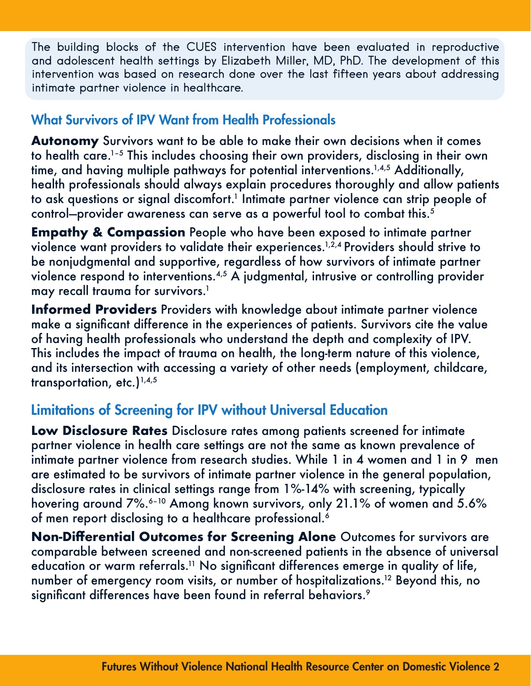The building blocks of the CUES intervention have been evaluated in reproductive and adolescent health settings by Elizabeth Miller, MD, PhD. The development of this intervention was based on research done over the last fifteen years about addressing intimate partner violence in healthcare.

## What Survivors of IPV Want from Health Professionals

**Autonomy** Survivors want to be able to make their own decisions when it comes to health care.1–5 This includes choosing their own providers, disclosing in their own time, and having multiple pathways for potential interventions.<sup>1,4,5</sup> Additionally, health professionals should always explain procedures thoroughly and allow patients to ask questions or signal discomfort.<sup>1</sup> Intimate partner violence can strip people of control-provider awareness can serve as a powerful tool to combat this.<sup>5</sup>

**Empathy & Compassion** People who have been exposed to intimate partner violence want providers to validate their experiences.<sup>1,2,4</sup> Providers should strive to be nonjudgmental and supportive, regardless of how survivors of intimate partner violence respond to interventions.4,5 A judgmental, intrusive or controlling provider may recall trauma for survivors.<sup>1</sup>

**Informed Providers** Providers with knowledge about intimate partner violence make a significant difference in the experiences of patients. Survivors cite the value of having health professionals who understand the depth and complexity of IPV. This includes the impact of trauma on health, the long-term nature of this violence, and its intersection with accessing a variety of other needs (employment, childcare, transportation, etc.) $1,4,5$ 

### Limitations of Screening for IPV without Universal Education

**Low Disclosure Rates** Disclosure rates among patients screened for intimate partner violence in health care settings are not the same as known prevalence of intimate partner violence from research studies. While 1 in 4 women and 1 in 9 men are estimated to be survivors of intimate partner violence in the general population, disclosure rates in clinical settings range from 1%-14% with screening, typically hovering around 7%.<sup>6-10</sup> Among known survivors, only 21.1% of women and 5.6% of men report disclosing to a healthcare professional.<sup>6</sup>

**Non-Differential Outcomes for Screening Alone** Outcomes for survivors are comparable between screened and non-screened patients in the absence of universal education or warm referrals.<sup>11</sup> No significant differences emerge in quality of life, number of emergency room visits, or number of hospitalizations.<sup>12</sup> Beyond this, no significant differences have been found in referral behaviors.<sup>9</sup>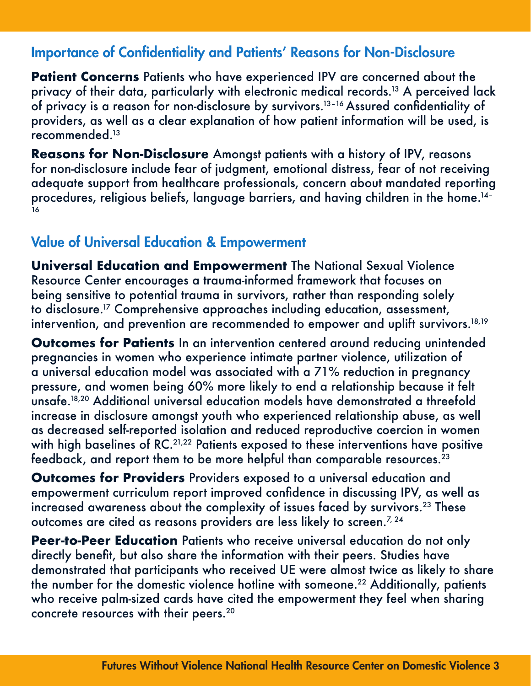### Importance of Confidentiality and Patients' Reasons for Non-Disclosure

**Patient Concerns** Patients who have experienced IPV are concerned about the privacy of their data, particularly with electronic medical records.<sup>13</sup> A perceived lack of privacy is a reason for non-disclosure by survivors.13–16 Assured confidentiality of providers, as well as a clear explanation of how patient information will be used, is recommended.<sup>13</sup>

**Reasons for Non-Disclosure** Amongst patients with a history of IPV, reasons for non-disclosure include fear of judgment, emotional distress, fear of not receiving adequate support from healthcare professionals, concern about mandated reporting procedures, religious beliefs, language barriers, and having children in the home.<sup>14-</sup> ءَ

# Value of Universal Education & Empowerment

**Universal Education and Empowerment** The National Sexual Violence Resource Center encourages a trauma-informed framework that focuses on being sensitive to potential trauma in survivors, rather than responding solely to disclosure.17 Comprehensive approaches including education, assessment, intervention, and prevention are recommended to empower and uplift survivors.<sup>18,19</sup>

**Outcomes for Patients** In an intervention centered around reducing unintended pregnancies in women who experience intimate partner violence, utilization of a universal education model was associated with a 71% reduction in pregnancy pressure, and women being 60% more likely to end a relationship because it felt unsafe.18,20 Additional universal education models have demonstrated a threefold increase in disclosure amongst youth who experienced relationship abuse, as well as decreased self-reported isolation and reduced reproductive coercion in women with high baselines of RC.<sup>21,22</sup> Patients exposed to these interventions have positive feedback, and report them to be more helpful than comparable resources.23

**Outcomes for Providers** Providers exposed to a universal education and empowerment curriculum report improved confidence in discussing IPV, as well as increased awareness about the complexity of issues faced by survivors.<sup>23</sup> These outcomes are cited as reasons providers are less likely to screen.<sup>7, 24</sup>

**Peer-to-Peer Education** Patients who receive universal education do not only directly benefit, but also share the information with their peers. Studies have demonstrated that participants who received UE were almost twice as likely to share the number for the domestic violence hotline with someone.22 Additionally, patients who receive palm-sized cards have cited the empowerment they feel when sharing concrete resources with their peers.20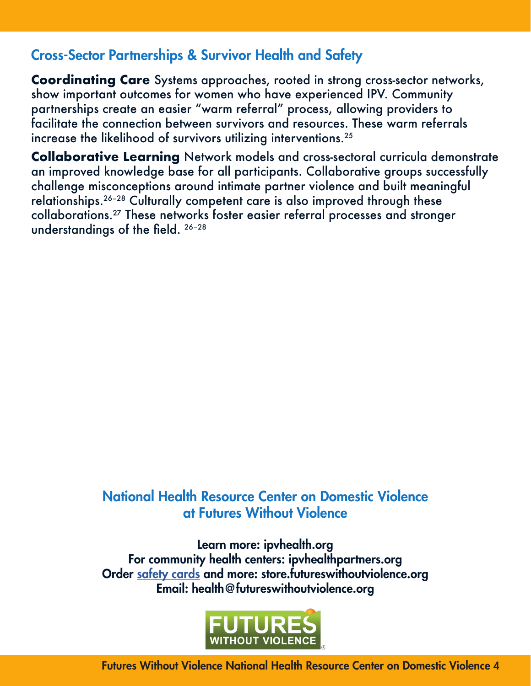# Cross-Sector Partnerships & Survivor Health and Safety

**Coordinating Care** Systems approaches, rooted in strong cross-sector networks, show important outcomes for women who have experienced IPV. Community partnerships create an easier "warm referral" process, allowing providers to facilitate the connection between survivors and resources. These warm referrals increase the likelihood of survivors utilizing interventions.<sup>25</sup>

**Collaborative Learning** Network models and cross-sectoral curricula demonstrate an improved knowledge base for all participants. Collaborative groups successfully challenge misconceptions around intimate partner violence and built meaningful relationships.26–28 Culturally competent care is also improved through these collaborations.27 These networks foster easier referral processes and stronger understandings of the field. 26–28

## National Health Resource Center on Domestic Violence at Futures Without Violence

Learn more: [ipvhealth.org](http://ipvhealth.org) For community health centers: [ipvhealthpartners.org](http://ipvhealthpartners.org) Order [safety cards](https://www.futureswithoutviolence.org/wp-content/uploads/2019-Health-Resource-Center-on-DV-Guide-FINAL.pdf) and more: [store.futureswithoutviolence.org](http://store.futureswithoutviolence.org) Email: [health@futureswithoutviolence.org](mailto:health%40futureswithoutviolence.org?subject=)



Futures Without Violence National Health Resource Center on Domestic Violence 4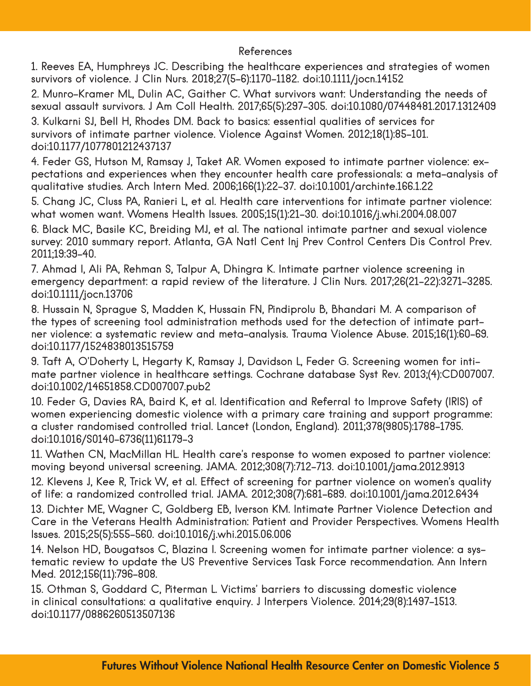#### References

1. Reeves EA, Humphreys JC. Describing the healthcare experiences and strategies of women survivors of violence. J Clin Nurs. 2018;27(5-6):1170-1182. doi:10.1111/jocn.14152

2. Munro-Kramer ML, Dulin AC, Gaither C. What survivors want: Understanding the needs of sexual assault survivors. J Am Coll Health. 2017;65(5):297-305. doi:10.1080/07448481.2017.1312409

3. Kulkarni SJ, Bell H, Rhodes DM. Back to basics: essential qualities of services for survivors of intimate partner violence. Violence Against Women. 2012;18(1):85-101. doi:10.1177/1077801212437137

4. Feder GS, Hutson M, Ramsay J, Taket AR. Women exposed to intimate partner violence: expectations and experiences when they encounter health care professionals: a meta-analysis of qualitative studies. Arch Intern Med. 2006;166(1):22-37. doi:10.1001/archinte.166.1.22

5. Chang JC, Cluss PA, Ranieri L, et al. Health care interventions for intimate partner violence: what women want. Womens Health Issues. 2005;15(1):21-30. doi:10.1016/j.whi.2004.08.007

6. Black MC, Basile KC, Breiding MJ, et al. The national intimate partner and sexual violence survey: 2010 summary report. Atlanta, GA Natl Cent Inj Prev Control Centers Dis Control Prev. 2011;19:39-40.

7. Ahmad I, Ali PA, Rehman S, Talpur A, Dhingra K. Intimate partner violence screening in emergency department: a rapid review of the literature. J Clin Nurs. 2017;26(21-22):3271-3285. doi:10.1111/jocn.13706

8. Hussain N, Sprague S, Madden K, Hussain FN, Pindiprolu B, Bhandari M. A comparison of the types of screening tool administration methods used for the detection of intimate partner violence: a systematic review and meta-analysis. Trauma Violence Abuse. 2015;16(1):60-69. doi:10.1177/1524838013515759

9. Taft A, O'Doherty L, Hegarty K, Ramsay J, Davidson L, Feder G. Screening women for intimate partner violence in healthcare settings. Cochrane database Syst Rev. 2013;(4):CD007007. doi:10.1002/14651858.CD007007.pub2

10. Feder G, Davies RA, Baird K, et al. Identification and Referral to Improve Safety (IRIS) of women experiencing domestic violence with a primary care training and support programme: a cluster randomised controlled trial. Lancet (London, England). 2011;378(9805):1788-1795. doi:10.1016/S0140-6736(11)61179-3

11. Wathen CN, MacMillan HL. Health care's response to women exposed to partner violence: moving beyond universal screening. JAMA. 2012;308(7):712-713. doi:10.1001/jama.2012.9913

12. Klevens J, Kee R, Trick W, et al. Effect of screening for partner violence on women's quality of life: a randomized controlled trial. JAMA. 2012;308(7):681-689. doi:10.1001/jama.2012.6434

13. Dichter ME, Wagner C, Goldberg EB, Iverson KM. Intimate Partner Violence Detection and Care in the Veterans Health Administration: Patient and Provider Perspectives. Womens Health Issues. 2015;25(5):555-560. doi:10.1016/j.whi.2015.06.006

14. Nelson HD, Bougatsos C, Blazina I. Screening women for intimate partner violence: a systematic review to update the US Preventive Services Task Force recommendation. Ann Intern Med. 2012;156(11):796-808.

15. Othman S, Goddard C, Piterman L. Victims' barriers to discussing domestic violence in clinical consultations: a qualitative enquiry. J Interpers Violence. 2014;29(8):1497-1513. doi:10.1177/0886260513507136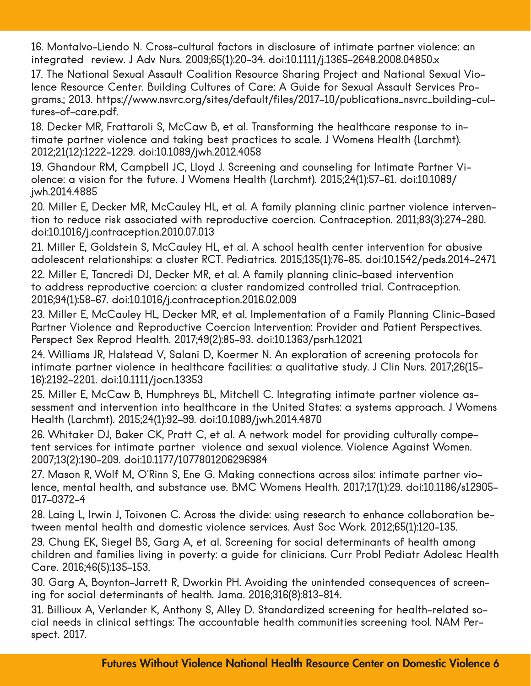16. Montalvo-Liendo N. Cross-cultural factors in disclosure of intimate partner violence: an integrated review. J Adv Nurs. 2009;65(1):20-34. doi:10.1111/j.1365-2648.2008.04850.x

17. The National Sexual Assault Coalition Resource Sharing Project and National Sexual Violence Resource Center. Building Cultures of Care: A Guide for Sexual Assault Services Programs.; 2013. https://www.nsvrc.org/sites/default/files/2017-10/publications\_nsvrc\_building-cultures-of-care.pdf.

18. Decker MR, Frattaroli S, McCaw B, et al. Transforming the healthcare response to intimate partner violence and taking best practices to scale. J Womens Health (Larchmt). 2012;21(12):1222-1229. doi:10.1089/jwh.2012.4058

19. Ghandour RM, Campbell JC, Lloyd J. Screening and counseling for Intimate Partner Violence: a vision for the future. J Womens Health (Larchmt). 2015;24(1):57-61. doi:10.1089/ jwh.2014.4885

20. Miller E, Decker MR, McCauley HL, et al. A family planning clinic partner violence intervention to reduce risk associated with reproductive coercion. Contraception. 2011;83(3):274-280. doi:10.1016/j.contraception.2010.07.013

21. Miller E, Goldstein S, McCauley HL, et al. A school health center intervention for abusive adolescent relationships: a cluster RCT. Pediatrics. 2015;135(1):76-85. doi:10.1542/peds.2014-2471

22. Miller E, Tancredi DJ, Decker MR, et al. A family planning clinic-based intervention to address reproductive coercion: a cluster randomized controlled trial. Contraception. 2016;94(1):58-67. doi:10.1016/j.contraception.2016.02.009

23. Miller E, McCauley HL, Decker MR, et al. Implementation of a Family Planning Clinic-Based Partner Violence and Reproductive Coercion Intervention: Provider and Patient Perspectives. Perspect Sex Reprod Health. 2017;49(2):85-93. doi:10.1363/psrh.12021

24. Williams JR, Halstead V, Salani D, Koermer N. An exploration of screening protocols for intimate partner violence in healthcare facilities: a qualitative study. J Clin Nurs. 2017;26(15- 16):2192-2201. doi:10.1111/jocn.13353

25. Miller E, McCaw B, Humphreys BL, Mitchell C. Integrating intimate partner violence assessment and intervention into healthcare in the United States: a systems approach. J Womens Health (Larchmt). 2015;24(1):92-99. doi:10.1089/jwh.2014.4870

26. Whitaker DJ, Baker CK, Pratt C, et al. A network model for providing culturally competent services for intimate partner violence and sexual violence. Violence Against Women. 2007;13(2):190-209. doi:10.1177/1077801206296984

27. Mason R, Wolf M, O'Rinn S, Ene G. Making connections across silos: intimate partner violence, mental health, and substance use. BMC Womens Health. 2017;17(1):29. doi:10.1186/s12905- 017-0372-4

28. Laing L, Irwin J, Toivonen C. Across the divide: using research to enhance collaboration between mental health and domestic violence services. Aust Soc Work. 2012;65(1):120-135.

29. Chung EK, Siegel BS, Garg A, et al. Screening for social determinants of health among children and families living in poverty: a guide for clinicians. Curr Probl Pediatr Adolesc Health Care. 2016;46(5):135-153.

30. Garg A, Boynton-Jarrett R, Dworkin PH. Avoiding the unintended consequences of screening for social determinants of health. Jama. 2016;316(8):813-814.

31. Billioux A, Verlander K, Anthony S, Alley D. Standardized screening for health-related social needs in clinical settings: The accountable health communities screening tool. NAM Perspect. 2017.